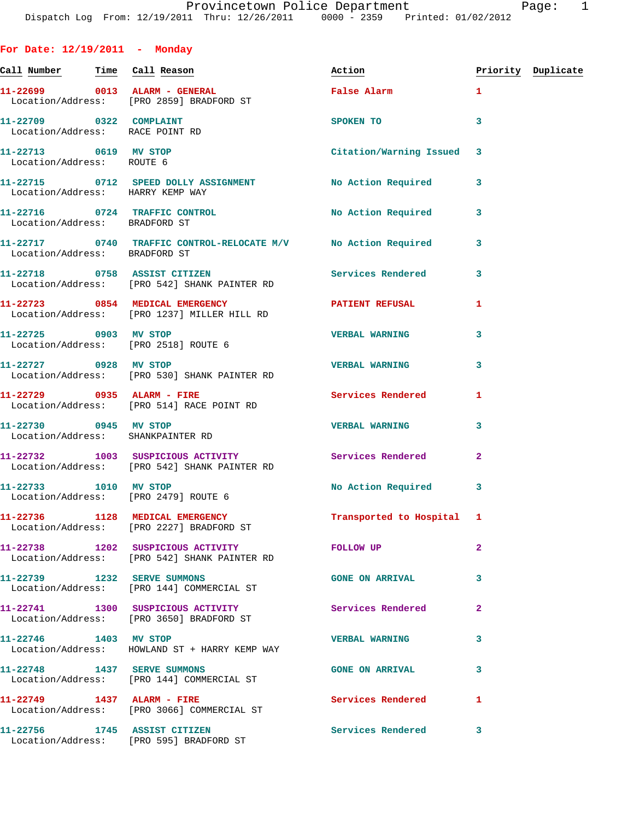| For Date: $12/19/2011$ - Monday                            |                                                                                                          |                           |                         |                    |
|------------------------------------------------------------|----------------------------------------------------------------------------------------------------------|---------------------------|-------------------------|--------------------|
| <u>Call Number — Time Call Reason</u>                      |                                                                                                          | Action                    |                         | Priority Duplicate |
|                                                            | 11-22699 0013 ALARM - GENERAL<br>Location/Address: [PRO 2859] BRADFORD ST                                | False Alarm               | $\mathbf{1}$            |                    |
| 11-22709 0322 COMPLAINT<br>Location/Address: RACE POINT RD |                                                                                                          | SPOKEN TO                 | 3                       |                    |
| 11-22713 0619 MV STOP<br>Location/Address: ROUTE 6         |                                                                                                          | Citation/Warning Issued   | $\overline{\mathbf{3}}$ |                    |
| Location/Address: HARRY KEMP WAY                           | 11-22715 0712 SPEED DOLLY ASSIGNMENT No Action Required                                                  |                           | 3                       |                    |
| Location/Address: BRADFORD ST                              | 11-22716 0724 TRAFFIC CONTROL                                                                            | <b>No Action Required</b> | 3                       |                    |
| Location/Address: BRADFORD ST                              | 11-22717 0740 TRAFFIC CONTROL-RELOCATE M/V No Action Required                                            |                           | 3                       |                    |
|                                                            | 11-22718 0758 ASSIST CITIZEN<br>Location/Address: [PRO 542] SHANK PAINTER RD                             | Services Rendered         | 3                       |                    |
|                                                            | 11-22723 0854 MEDICAL EMERGENCY<br>Location/Address: [PRO 1237] MILLER HILL RD                           | PATIENT REFUSAL           | 1                       |                    |
|                                                            | 11-22725 0903 MV STOP<br>Location/Address: [PRO 2518] ROUTE 6                                            | <b>VERBAL WARNING</b>     | 3                       |                    |
| 11-22727 0928 MV STOP                                      | Location/Address: [PRO 530] SHANK PAINTER RD                                                             | <b>VERBAL WARNING</b>     | 3                       |                    |
|                                                            | 11-22729 0935 ALARM - FIRE<br>Location/Address: [PRO 514] RACE POINT RD                                  | <b>Services Rendered</b>  | 1                       |                    |
| 11-22730 0945 MV STOP<br>Location/Address: SHANKPAINTER RD |                                                                                                          | <b>VERBAL WARNING</b>     | 3                       |                    |
|                                                            | 11-22732 1003 SUSPICIOUS ACTIVITY 1990 Services Rendered<br>Location/Address: [PRO 542] SHANK PAINTER RD |                           | 2                       |                    |
| 11-22733 1010 MV STOP                                      | Location/Address: [PRO 2479] ROUTE 6                                                                     | No Action Required 3      |                         |                    |
|                                                            | 11-22736 1128 MEDICAL EMERGENCY<br>Location/Address: [PRO 2227] BRADFORD ST                              | Transported to Hospital 1 |                         |                    |
|                                                            | 11-22738 1202 SUSPICIOUS ACTIVITY<br>Location/Address: [PRO 542] SHANK PAINTER RD                        | FOLLOW UP                 | $\mathbf{2}$            |                    |
| 11-22739 1232 SERVE SUMMONS                                | Location/Address: [PRO 144] COMMERCIAL ST                                                                | <b>GONE ON ARRIVAL</b>    | 3                       |                    |
|                                                            | 11-22741 1300 SUSPICIOUS ACTIVITY<br>Location/Address: [PRO 3650] BRADFORD ST                            | Services Rendered         | $\mathbf{2}$            |                    |
| 11-22746 1403 MV STOP                                      | Location/Address: HOWLAND ST + HARRY KEMP WAY                                                            | <b>VERBAL WARNING</b>     | 3                       |                    |
| 11-22748 1437 SERVE SUMMONS                                | Location/Address: [PRO 144] COMMERCIAL ST                                                                | <b>GONE ON ARRIVAL</b>    | 3                       |                    |
|                                                            | 11-22749 1437 ALARM - FIRE<br>Location/Address: [PRO 3066] COMMERCIAL ST                                 | Services Rendered         | 1                       |                    |
| 11-22756 1745 ASSIST CITIZEN                               | Location/Address: [PRO 595] BRADFORD ST                                                                  | <b>Services Rendered</b>  | 3                       |                    |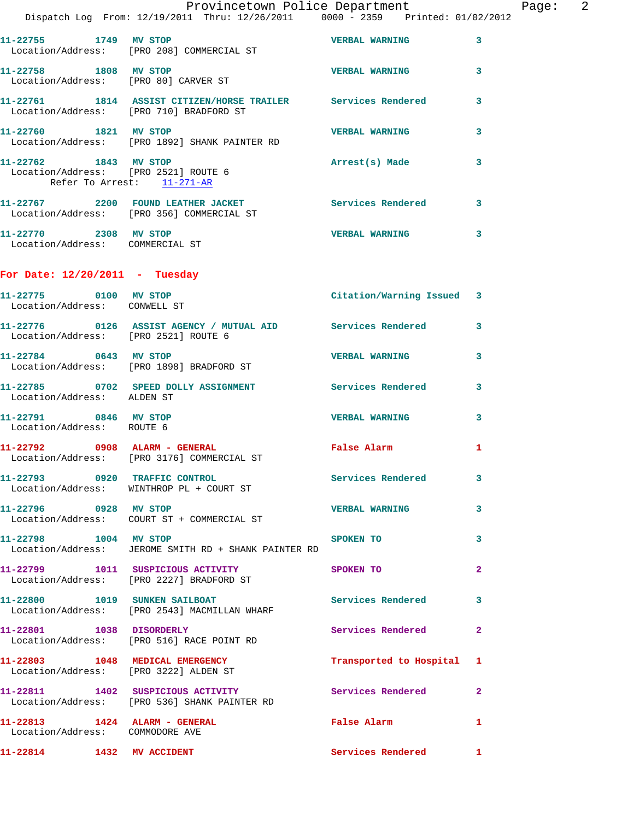|                                                                                             | Provincetown Police Department<br>Dispatch Log From: 12/19/2011 Thru: 12/26/2011 0000 - 2359 Printed: 01/02/2012 |                           |              |
|---------------------------------------------------------------------------------------------|------------------------------------------------------------------------------------------------------------------|---------------------------|--------------|
|                                                                                             |                                                                                                                  |                           |              |
|                                                                                             | 11-22755 1749 MV STOP<br>Location/Address: [PRO 208] COMMERCIAL ST                                               | <b>VERBAL WARNING</b>     | 3            |
| 11-22758 1808 MV STOP                                                                       | Location/Address: [PRO 80] CARVER ST                                                                             | <b>VERBAL WARNING</b>     | 3            |
|                                                                                             | 11-22761 1814 ASSIST CITIZEN/HORSE TRAILER Services Rendered<br>Location/Address: [PRO 710] BRADFORD ST          |                           | 3            |
| 11-22760 1821 MV STOP                                                                       | Location/Address: [PRO 1892] SHANK PAINTER RD                                                                    | <b>VERBAL WARNING</b>     | 3            |
| 11-22762 1843 MV STOP<br>Location/Address: [PRO 2521] ROUTE 6<br>Refer To Arrest: 11-271-AR |                                                                                                                  | Arrest(s) Made            | 3            |
|                                                                                             | 11-22767 2200 FOUND LEATHER JACKET<br>Location/Address: [PRO 356] COMMERCIAL ST                                  | Services Rendered         | 3            |
| 11-22770 2308 MV STOP<br>Location/Address: COMMERCIAL ST                                    |                                                                                                                  | <b>VERBAL WARNING</b>     | 3            |
| For Date: $12/20/2011$ - Tuesday                                                            |                                                                                                                  |                           |              |
| 11-22775 0100 MV STOP<br>Location/Address: CONWELL ST                                       |                                                                                                                  | Citation/Warning Issued 3 |              |
| Location/Address: [PRO 2521] ROUTE 6                                                        | 11-22776 0126 ASSIST AGENCY / MUTUAL AID Services Rendered                                                       |                           | 3            |
| 11-22784 0643 MV STOP                                                                       | Location/Address: [PRO 1898] BRADFORD ST                                                                         | <b>VERBAL WARNING</b>     | 3            |
| Location/Address: ALDEN ST                                                                  | 11-22785 0702 SPEED DOLLY ASSIGNMENT Services Rendered                                                           |                           | 3            |
| 11-22791 0846 MV STOP<br>Location/Address: ROUTE 6                                          |                                                                                                                  | <b>VERBAL WARNING</b>     | 3            |
|                                                                                             | 11-22792 0908 ALARM - GENERAL<br>Location/Address: [PRO 3176] COMMERCIAL ST                                      | False Alarm               | 1            |
|                                                                                             | 11-22793 0920 TRAFFIC CONTROL<br>Location/Address: WINTHROP PL + COURT ST                                        | Services Rendered         | 3            |
| 11-22796 0928 MV STOP                                                                       | Location/Address: COURT ST + COMMERCIAL ST                                                                       | <b>VERBAL WARNING</b>     | 3            |
| 11-22798 1004 MV STOP                                                                       | Location/Address: JEROME SMITH RD + SHANK PAINTER RD                                                             | SPOKEN TO                 | 3            |
|                                                                                             | 11-22799 1011 SUSPICIOUS ACTIVITY<br>Location/Address: [PRO 2227] BRADFORD ST                                    | SPOKEN TO                 | 2            |
|                                                                                             | 11-22800 1019 SUNKEN SAILBOAT<br>Location/Address: [PRO 2543] MACMILLAN WHARF                                    | <b>Services Rendered</b>  | 3            |
|                                                                                             | 11-22801 1038 DISORDERLY<br>Location/Address: [PRO 516] RACE POINT RD                                            | Services Rendered         | 2            |
|                                                                                             | 11-22803 1048 MEDICAL EMERGENCY<br>Location/Address: [PRO 3222] ALDEN ST                                         | Transported to Hospital   | 1            |
|                                                                                             | 11-22811 1402 SUSPICIOUS ACTIVITY<br>Location/Address: [PRO 536] SHANK PAINTER RD                                | Services Rendered         | 2            |
| 11-22813 1424 ALARM - GENERAL<br>Location/Address: COMMODORE AVE                            |                                                                                                                  | False Alarm               | 1            |
| 11-22814 1432 MV ACCIDENT                                                                   |                                                                                                                  | Services Rendered         | $\mathbf{1}$ |

Page: 2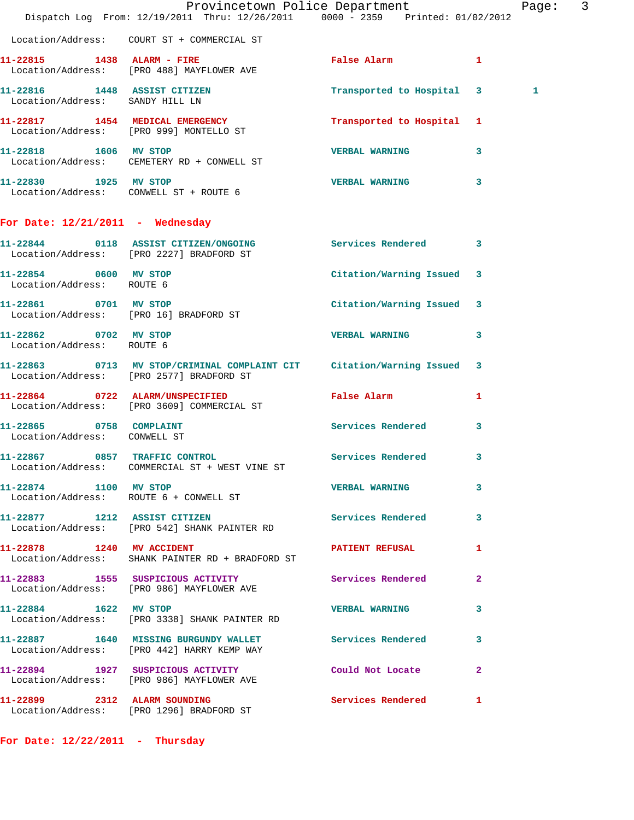|                                                         | Dispatch Log From: 12/19/2011 Thru: 12/26/2011 0000 - 2359 Printed: 01/02/2012                                     | Provincetown Police Department |              | Page: 3 |  |
|---------------------------------------------------------|--------------------------------------------------------------------------------------------------------------------|--------------------------------|--------------|---------|--|
|                                                         | Location/Address: COURT ST + COMMERCIAL ST                                                                         |                                |              |         |  |
|                                                         | 11-22815 1438 ALARM - FIRE<br>Location/Address: [PRO 488] MAYFLOWER AVE                                            | False Alarm                    | $\mathbf{1}$ |         |  |
| Location/Address: SANDY HILL LN                         | 11-22816 1448 ASSIST CITIZEN                                                                                       | Transported to Hospital 3      |              | 1       |  |
|                                                         | 11-22817 1454 MEDICAL EMERGENCY<br>Location/Address: [PRO 999] MONTELLO ST                                         | Transported to Hospital 1      |              |         |  |
|                                                         | 11-22818 1606 MV STOP<br>Location/Address: CEMETERY RD + CONWELL ST                                                | <b>VERBAL WARNING</b>          | 3            |         |  |
| 11-22830 1925 MV STOP                                   | Location/Address: CONWELL ST + ROUTE 6                                                                             | VERBAL WARNING 3               |              |         |  |
| For Date: $12/21/2011$ - Wednesday                      |                                                                                                                    |                                |              |         |  |
|                                                         | 11-22844 0118 ASSIST CITIZEN/ONGOING Services Rendered 3<br>Location/Address: [PRO 2227] BRADFORD ST               |                                |              |         |  |
| 11-22854 0600 MV STOP<br>Location/Address: ROUTE 6      |                                                                                                                    | Citation/Warning Issued 3      |              |         |  |
| 11-22861 0701 MV STOP                                   | Location/Address: [PRO 16] BRADFORD ST                                                                             | Citation/Warning Issued 3      |              |         |  |
| 11-22862 0702 MV STOP<br>Location/Address: ROUTE 6      |                                                                                                                    | <b>VERBAL WARNING</b>          | 3            |         |  |
|                                                         | 11-22863 0713 MV STOP/CRIMINAL COMPLAINT CIT Citation/Warning Issued 3<br>Location/Address: [PRO 2577] BRADFORD ST |                                |              |         |  |
|                                                         | 11-22864 0722 ALARM/UNSPECIFIED<br>Location/Address: [PRO 3609] COMMERCIAL ST                                      | False Alarm                    | 1            |         |  |
| 11-22865 0758 COMPLAINT<br>Location/Address: CONWELL ST |                                                                                                                    | <b>Services Rendered</b>       | 3            |         |  |
|                                                         | 11-22867 0857 TRAFFIC CONTROL Services Rendered 3<br>Location/Address: COMMERCIAL ST + WEST VINE ST                |                                |              |         |  |
| 11-22874 1100 MV STOP                                   | Location/Address: ROUTE 6 + CONWELL ST                                                                             | <b>VERBAL WARNING</b>          | 3            |         |  |
|                                                         | 11-22877 1212 ASSIST CITIZEN<br>Location/Address: [PRO 542] SHANK PAINTER RD                                       | Services Rendered 3            |              |         |  |
| 11-22878 1240 MV ACCIDENT                               | Location/Address: SHANK PAINTER RD + BRADFORD ST                                                                   | PATIENT REFUSAL 1              |              |         |  |
|                                                         | 11-22883 1555 SUSPICIOUS ACTIVITY 1990 Services Rendered<br>Location/Address: [PRO 986] MAYFLOWER AVE              |                                | -2           |         |  |
| 11-22884 1622 MV STOP                                   | Location/Address: [PRO 3338] SHANK PAINTER RD                                                                      | VERBAL WARNING 3               |              |         |  |
|                                                         | 11-22887 1640 MISSING BURGUNDY WALLET Services Rendered 3<br>Location/Address: [PRO 442] HARRY KEMP WAY            |                                |              |         |  |
|                                                         | 11-22894 1927 SUSPICIOUS ACTIVITY<br>Location/Address: [PRO 986] MAYFLOWER AVE                                     | Could Not Locate               | $\mathbf{2}$ |         |  |
|                                                         | 11-22899 2312 ALARM SOUNDING<br>Location/Address: [PRO 1296] BRADFORD ST                                           | <b>Services Rendered</b> 1     |              |         |  |

**For Date: 12/22/2011 - Thursday**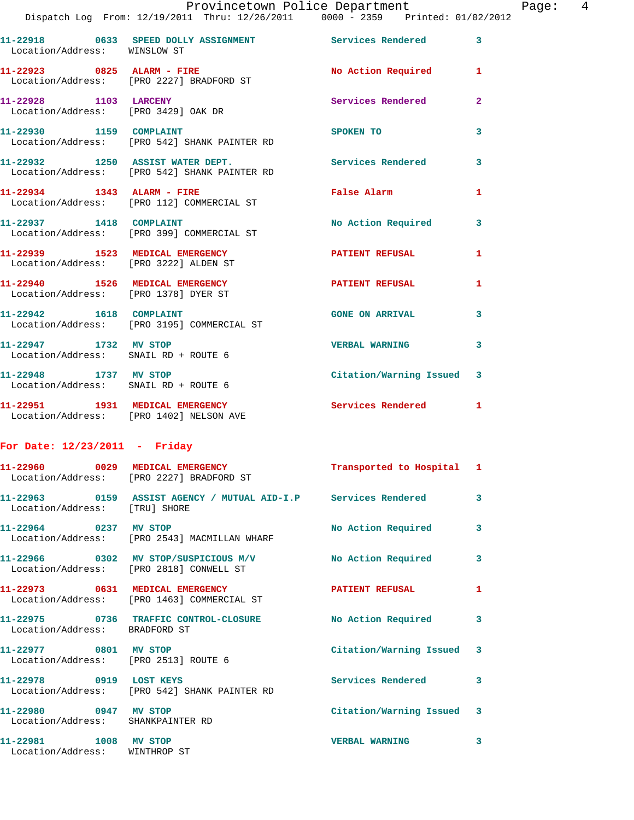|                                                                          | Dispatch Log From: 12/19/2011 Thru: 12/26/2011 0000 - 2359 Printed: 01/02/2012 |                          |                |
|--------------------------------------------------------------------------|--------------------------------------------------------------------------------|--------------------------|----------------|
| Location/Address: WINSLOW ST                                             | 11-22918 0633 SPEED DOLLY ASSIGNMENT Services Rendered                         |                          | 3              |
| 11-22923 0825 ALARM - FIRE                                               | Location/Address: [PRO 2227] BRADFORD ST                                       | No Action Required       | 1              |
| 11-22928 1103 LARCENY<br>Location/Address: [PRO 3429] OAK DR             |                                                                                | Services Rendered        | $\overline{2}$ |
| 11-22930 1159 COMPLAINT                                                  | Location/Address: [PRO 542] SHANK PAINTER RD                                   | SPOKEN TO                | 3              |
| 11-22932 1250 ASSIST WATER DEPT.                                         | Location/Address: [PRO 542] SHANK PAINTER RD                                   | <b>Services Rendered</b> | 3              |
| 11-22934 1343 ALARM - FIRE                                               | Location/Address: [PRO 112] COMMERCIAL ST                                      | <b>False Alarm</b>       | 1              |
| 11-22937 1418 COMPLAINT                                                  | Location/Address: [PRO 399] COMMERCIAL ST                                      | No Action Required       | 3              |
| 11-22939 1523 MEDICAL EMERGENCY<br>Location/Address: [PRO 3222] ALDEN ST |                                                                                | <b>PATIENT REFUSAL</b>   | $\mathbf{1}$   |
| 11-22940 1526 MEDICAL EMERGENCY<br>Location/Address: [PRO 1378] DYER ST  |                                                                                | <b>PATIENT REFUSAL</b>   | $\mathbf{1}$   |
|                                                                          | 11-22942    1618    COMPLAINT<br>Location/Address: [PRO 3195] COMMERCIAL ST    | <b>GONE ON ARRIVAL</b>   | 3              |
| 11-22947 1732 MV STOP<br>Location/Address: SNAIL RD + ROUTE 6            |                                                                                | <b>VERBAL WARNING</b>    | 3              |
| 11-22948 1737 MV STOP<br>Location/Address:                               | SNAIL RD + ROUTE 6                                                             | Citation/Warning Issued  | 3              |

**11-22951 1931 MEDICAL EMERGENCY Services Rendered 1**  Location/Address: [PRO 1402] NELSON AVE

## **For Date: 12/23/2011 - Friday**

|                                                               | 11-22960 0029 MEDICAL EMERGENCY<br>Location/Address: [PRO 2227] BRADFORD ST                        | Transported to Hospital 1 |                         |
|---------------------------------------------------------------|----------------------------------------------------------------------------------------------------|---------------------------|-------------------------|
| Location/Address: [TRU] SHORE                                 | 11-22963      0159 ASSIST AGENCY / MUTUAL AID-I.P    Services Rendered                             |                           | $\overline{\mathbf{3}}$ |
| 11-22964 0237 MV STOP                                         | Location/Address: [PRO 2543] MACMILLAN WHARF                                                       | No Action Required        | $\mathbf{3}$            |
|                                                               | 11-22966 0302 MV STOP/SUSPICIOUS M/V No Action Required<br>Location/Address: [PRO 2818] CONWELL ST |                           | $\mathbf{3}$            |
|                                                               | Location/Address: [PRO 1463] COMMERCIAL ST                                                         | <b>PATIENT REFUSAL</b>    | $\mathbf{1}$            |
| Location/Address: BRADFORD ST                                 | 11-22975 0736 TRAFFIC CONTROL-CLOSURE No Action Required                                           |                           | $\mathbf{3}$            |
| 11-22977 0801 MV STOP<br>Location/Address: [PRO 2513] ROUTE 6 |                                                                                                    | Citation/Warning Issued 3 |                         |
|                                                               | 11-22978 0919 LOST KEYS<br>Location/Address: [PRO 542] SHANK PAINTER RD                            | <b>Services Rendered</b>  | $\mathbf{3}$            |
| 11-22980 0947 MV STOP<br>Location/Address: SHANKPAINTER RD    |                                                                                                    | Citation/Warning Issued 3 |                         |
| 11-22981 1008 MV STOP<br>Location/Address: WINTHROP ST        |                                                                                                    | <b>VERBAL WARNING</b>     | $\mathbf{3}$            |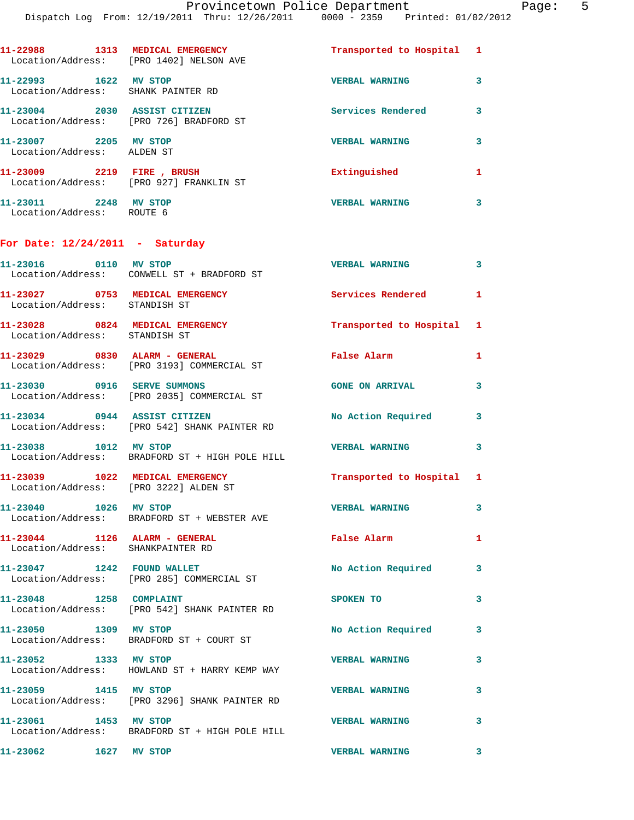| 11-22988<br>1313<br>Location/Address: | MEDICAL EMERGENCY<br>[PRO 1402] NELSON AVE     | Transported to Hospital | $\mathbf{1}$ |
|---------------------------------------|------------------------------------------------|-------------------------|--------------|
| 11-22993<br>1622<br>Location/Address: | MV STOP<br>SHANK PAINTER RD                    | <b>VERBAL WARNING</b>   | 3            |
| 11-23004<br>2030<br>Location/Address: | <b>ASSIST CITIZEN</b><br>[PRO 726] BRADFORD ST | Services Rendered       | 3            |
| 11-23007<br>2205<br>Location/Address: | MV STOP<br>ALDEN ST                            | <b>VERBAL WARNING</b>   | 3            |
| 11-23009<br>2219<br>Location/Address: | FIRE, BRUSH<br>[PRO 927] FRANKLIN ST           | Extinguished            | 1            |
| 2248<br>11-23011                      | <b>STOP</b><br>МV                              | <b>VERBAL WARNING</b>   | 3            |

## **For Date: 12/24/2011 - Saturday**

Location/Address: ROUTE 6

| 11-23016 0110 MV STOP                                                    | Location/Address: CONWELL ST + BRADFORD ST     | <b>VERBAL WARNING</b>     | $\mathbf{3}$ |
|--------------------------------------------------------------------------|------------------------------------------------|---------------------------|--------------|
| 11-23027 0753 MEDICAL EMERGENCY<br>Location/Address: STANDISH ST         |                                                | Services Rendered         | $\mathbf{1}$ |
| 11-23028 0824 MEDICAL EMERGENCY<br>Location/Address: STANDISH ST         |                                                | Transported to Hospital 1 |              |
| 11-23029 0830 ALARM - GENERAL                                            | Location/Address: [PRO 3193] COMMERCIAL ST     | <b>False Alarm</b>        | $\mathbf{1}$ |
| 11-23030 0916 SERVE SUMMONS                                              | Location/Address: [PRO 2035] COMMERCIAL ST     | <b>GONE ON ARRIVAL</b>    | 3            |
| 11-23034 0944 ASSIST CITIZEN                                             | Location/Address: [PRO 542] SHANK PAINTER RD   | <b>No Action Required</b> | 3            |
| 11-23038 1012 MV STOP                                                    | Location/Address: BRADFORD ST + HIGH POLE HILL | <b>VERBAL WARNING</b>     | 3            |
| 11-23039 1022 MEDICAL EMERGENCY<br>Location/Address: [PRO 3222] ALDEN ST |                                                | Transported to Hospital 1 |              |
| 11-23040 1026 MV STOP                                                    | Location/Address: BRADFORD ST + WEBSTER AVE    | <b>VERBAL WARNING</b>     | 3            |
| $11-23044$ 1126 ALARM - GENERAL<br>Location/Address: SHANKPAINTER RD     |                                                | <b>False Alarm</b>        | 1            |
| 11-23047 1242 FOUND WALLET                                               | Location/Address: [PRO 285] COMMERCIAL ST      | No Action Required        | 3            |
| 11-23048 1258 COMPLAINT                                                  | Location/Address: [PRO 542] SHANK PAINTER RD   | SPOKEN TO                 | 3            |
| 11-23050 1309 MV STOP                                                    | Location/Address: BRADFORD ST + COURT ST       | No Action Required        | 3            |
| 11-23052 1333 MV STOP                                                    | Location/Address: HOWLAND ST + HARRY KEMP WAY  | <b>VERBAL WARNING</b>     | 3            |
| 11-23059 1415 MV STOP                                                    | Location/Address: [PRO 3296] SHANK PAINTER RD  | <b>VERBAL WARNING</b>     | 3            |
| 11-23061 1453 MV STOP                                                    | Location/Address: BRADFORD ST + HIGH POLE HILL | <b>VERBAL WARNING</b>     | 3            |
| 1627 MV STOP<br>11-23062                                                 |                                                | <b>VERBAL WARNING</b>     | 3            |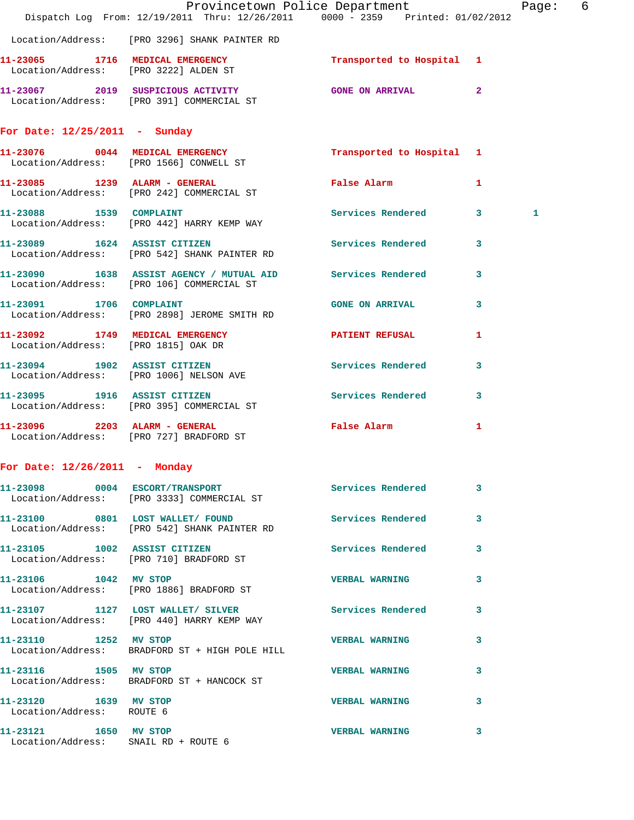|                                                               | Provincetown Police Department The Page: 6<br>Dispatch Log From: 12/19/2011 Thru: 12/26/2011 0000 - 2359 Printed: 01/02/2012 |                           |              |   |  |
|---------------------------------------------------------------|------------------------------------------------------------------------------------------------------------------------------|---------------------------|--------------|---|--|
|                                                               | Location/Address: [PRO 3296] SHANK PAINTER RD                                                                                |                           |              |   |  |
|                                                               | 11-23065 1716 MEDICAL EMERGENCY<br>Location/Address: [PRO 3222] ALDEN ST                                                     | Transported to Hospital 1 |              |   |  |
|                                                               | 11-23067 2019 SUSPICIOUS ACTIVITY CONE ON ARRIVAL 2<br>Location/Address: [PRO 391] COMMERCIAL ST                             |                           |              |   |  |
| For Date: $12/25/2011$ - Sunday                               |                                                                                                                              |                           |              |   |  |
|                                                               | 11-23076 0044 MEDICAL EMERGENCY<br>Location/Address: [PRO 1566] CONWELL ST                                                   | Transported to Hospital 1 |              |   |  |
|                                                               | 11-23085 1239 ALARM - GENERAL<br>Location/Address: [PRO 242] COMMERCIAL ST                                                   | False Alarm               | $\mathbf{1}$ |   |  |
|                                                               | 11-23088 1539 COMPLAINT<br>Location/Address: [PRO 442] HARRY KEMP WAY                                                        | Services Rendered 3       |              | 1 |  |
|                                                               | 11-23089 1624 ASSIST CITIZEN 5ervices Rendered 3<br>Location/Address: [PRO 542] SHANK PAINTER RD                             |                           |              |   |  |
|                                                               | 11-23090 1638 ASSIST AGENCY / MUTUAL AID Services Rendered 3<br>Location/Address: [PRO 106] COMMERCIAL ST                    |                           |              |   |  |
| 11-23091 1706 COMPLAINT                                       | Location/Address: [PRO 2898] JEROME SMITH RD                                                                                 | GONE ON ARRIVAL 3         |              |   |  |
| Location/Address: [PRO 1815] OAK DR                           | 11-23092 1749 MEDICAL EMERGENCY PATIENT REFUSAL                                                                              |                           | $\mathbf{1}$ |   |  |
|                                                               | 11-23094 1902 ASSIST CITIZEN<br>Location/Address: [PRO 1006] NELSON AVE                                                      | Services Rendered         | $\mathbf{3}$ |   |  |
|                                                               | 11-23095 1916 ASSIST CITIZEN<br>Location/Address: [PRO 395] COMMERCIAL ST                                                    | Services Rendered 3       |              |   |  |
|                                                               | 11-23096 2203 ALARM - GENERAL<br>Location/Address: [PRO 727] BRADFORD ST                                                     | False Alarm               | 1            |   |  |
| For Date: $12/26/2011$ - Monday                               |                                                                                                                              |                           |              |   |  |
|                                                               | 11-23098 0004 ESCORT/TRANSPORT<br>Location/Address: [PRO 3333] COMMERCIAL ST                                                 | Services Rendered 3       |              |   |  |
|                                                               | 11-23100 0801 LOST WALLET/FOUND<br>Location/Address: [PRO 542] SHANK PAINTER RD                                              | Services Rendered 3       |              |   |  |
|                                                               | 11-23105 1002 ASSIST CITIZEN<br>Location/Address: [PRO 710] BRADFORD ST                                                      | Services Rendered 3       |              |   |  |
|                                                               | 11-23106 1042 MV STOP<br>Location/Address: [PRO 1886] BRADFORD ST                                                            | VERBAL WARNING 3          |              |   |  |
|                                                               | 11-23107 1127 LOST WALLET/ SILVER Services Rendered 3<br>Location/Address: [PRO 440] HARRY KEMP WAY                          |                           |              |   |  |
| 11-23110 1252 MV STOP                                         | Location/Address: BRADFORD ST + HIGH POLE HILL                                                                               | <b>VERBAL WARNING</b>     | $\mathbf{3}$ |   |  |
| 11-23116 1505 MV STOP                                         | Location/Address: BRADFORD ST + HANCOCK ST                                                                                   | VERBAL WARNING 3          |              |   |  |
| 11-23120 1639 MV STOP<br>Location/Address: ROUTE 6            |                                                                                                                              | VERBAL WARNING 3          |              |   |  |
| 11-23121 1650 MV STOP<br>Location/Address: SNAIL RD + ROUTE 6 |                                                                                                                              | <b>VERBAL WARNING</b>     | $\mathbf{3}$ |   |  |